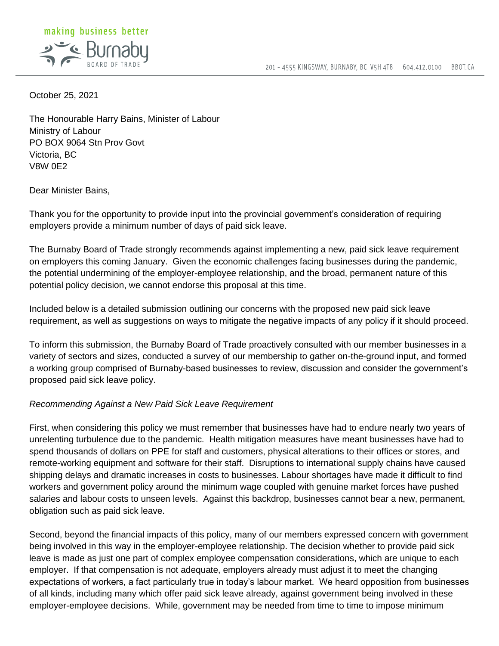

October 25, 2021

The Honourable Harry Bains, Minister of Labour Ministry of Labour PO BOX 9064 Stn Prov Govt Victoria, BC V8W 0E2

Dear Minister Bains,

Thank you for the opportunity to provide input into the provincial government's consideration of requiring employers provide a minimum number of days of paid sick leave.

The Burnaby Board of Trade strongly recommends against implementing a new, paid sick leave requirement on employers this coming January. Given the economic challenges facing businesses during the pandemic, the potential undermining of the employer-employee relationship, and the broad, permanent nature of this potential policy decision, we cannot endorse this proposal at this time.

Included below is a detailed submission outlining our concerns with the proposed new paid sick leave requirement, as well as suggestions on ways to mitigate the negative impacts of any policy if it should proceed.

To inform this submission, the Burnaby Board of Trade proactively consulted with our member businesses in a variety of sectors and sizes, conducted a survey of our membership to gather on-the-ground input, and formed a working group comprised of Burnaby-based businesses to review, discussion and consider the government's proposed paid sick leave policy.

### *Recommending Against a New Paid Sick Leave Requirement*

First, when considering this policy we must remember that businesses have had to endure nearly two years of unrelenting turbulence due to the pandemic. Health mitigation measures have meant businesses have had to spend thousands of dollars on PPE for staff and customers, physical alterations to their offices or stores, and remote-working equipment and software for their staff. Disruptions to international supply chains have caused shipping delays and dramatic increases in costs to businesses. Labour shortages have made it difficult to find workers and government policy around the minimum wage coupled with genuine market forces have pushed salaries and labour costs to unseen levels. Against this backdrop, businesses cannot bear a new, permanent, obligation such as paid sick leave.

Second, beyond the financial impacts of this policy, many of our members expressed concern with government being involved in this way in the employer-employee relationship. The decision whether to provide paid sick leave is made as just one part of complex employee compensation considerations, which are unique to each employer. If that compensation is not adequate, employers already must adjust it to meet the changing expectations of workers, a fact particularly true in today's labour market. We heard opposition from businesses of all kinds, including many which offer paid sick leave already, against government being involved in these employer-employee decisions. While, government may be needed from time to time to impose minimum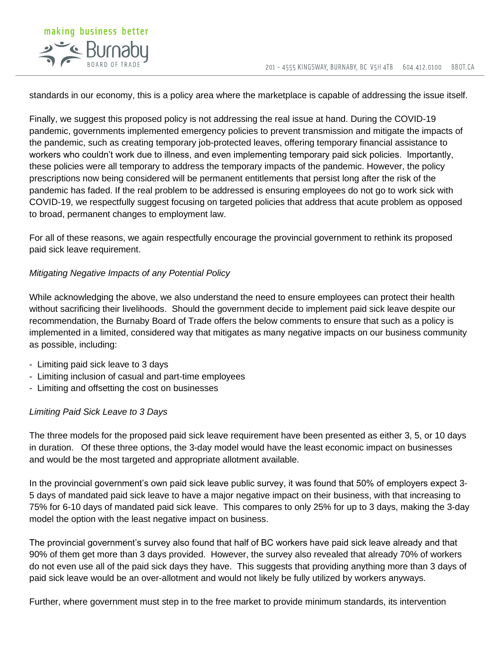

standards in our economy, this is a policy area where the marketplace is capable of addressing the issue itself.

Finally, we suggest this proposed policy is not addressing the real issue at hand. During the COVID-19 pandemic, governments implemented emergency policies to prevent transmission and mitigate the impacts of the pandemic, such as creating temporary job-protected leaves, offering temporary financial assistance to workers who couldn't work due to illness, and even implementing temporary paid sick policies. Importantly, these policies were all temporary to address the temporary impacts of the pandemic. However, the policy prescriptions now being considered will be permanent entitlements that persist long after the risk of the pandemic has faded. If the real problem to be addressed is ensuring employees do not go to work sick with COVID-19, we respectfully suggest focusing on targeted policies that address that acute problem as opposed to broad, permanent changes to employment law.

For all of these reasons, we again respectfully encourage the provincial government to rethink its proposed paid sick leave requirement.

## *Mitigating Negative Impacts of any Potential Policy*

While acknowledging the above, we also understand the need to ensure employees can protect their health without sacrificing their livelihoods. Should the government decide to implement paid sick leave despite our recommendation, the Burnaby Board of Trade offers the below comments to ensure that such as a policy is implemented in a limited, considered way that mitigates as many negative impacts on our business community as possible, including:

- Limiting paid sick leave to 3 days
- Limiting inclusion of casual and part-time employees
- Limiting and offsetting the cost on businesses

## *Limiting Paid Sick Leave to 3 Days*

The three models for the proposed paid sick leave requirement have been presented as either 3, 5, or 10 days in duration. Of these three options, the 3-day model would have the least economic impact on businesses and would be the most targeted and appropriate allotment available.

In the provincial government's own paid sick leave public survey, it was found that 50% of employers expect 3- 5 days of mandated paid sick leave to have a major negative impact on their business, with that increasing to 75% for 6-10 days of mandated paid sick leave. This compares to only 25% for up to 3 days, making the 3-day model the option with the least negative impact on business.

The provincial government's survey also found that half of BC workers have paid sick leave already and that 90% of them get more than 3 days provided. However, the survey also revealed that already 70% of workers do not even use all of the paid sick days they have. This suggests that providing anything more than 3 days of paid sick leave would be an over-allotment and would not likely be fully utilized by workers anyways.

Further, where government must step in to the free market to provide minimum standards, its intervention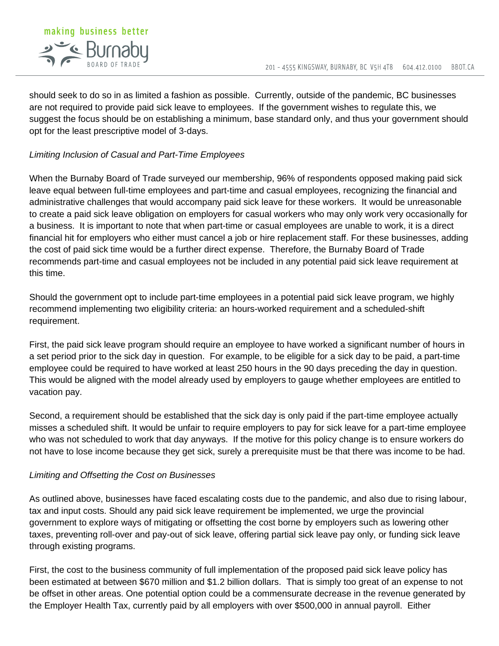

should seek to do so in as limited a fashion as possible. Currently, outside of the pandemic, BC businesses are not required to provide paid sick leave to employees. If the government wishes to regulate this, we suggest the focus should be on establishing a minimum, base standard only, and thus your government should opt for the least prescriptive model of 3-days.

# *Limiting Inclusion of Casual and Part-Time Employees*

When the Burnaby Board of Trade surveyed our membership, 96% of respondents opposed making paid sick leave equal between full-time employees and part-time and casual employees, recognizing the financial and administrative challenges that would accompany paid sick leave for these workers. It would be unreasonable to create a paid sick leave obligation on employers for casual workers who may only work very occasionally for a business. It is important to note that when part-time or casual employees are unable to work, it is a direct financial hit for employers who either must cancel a job or hire replacement staff. For these businesses, adding the cost of paid sick time would be a further direct expense. Therefore, the Burnaby Board of Trade recommends part-time and casual employees not be included in any potential paid sick leave requirement at this time.

Should the government opt to include part-time employees in a potential paid sick leave program, we highly recommend implementing two eligibility criteria: an hours-worked requirement and a scheduled-shift requirement.

First, the paid sick leave program should require an employee to have worked a significant number of hours in a set period prior to the sick day in question. For example, to be eligible for a sick day to be paid, a part-time employee could be required to have worked at least 250 hours in the 90 days preceding the day in question. This would be aligned with the model already used by employers to gauge whether employees are entitled to vacation pay.

Second, a requirement should be established that the sick day is only paid if the part-time employee actually misses a scheduled shift. It would be unfair to require employers to pay for sick leave for a part-time employee who was not scheduled to work that day anyways. If the motive for this policy change is to ensure workers do not have to lose income because they get sick, surely a prerequisite must be that there was income to be had.

## *Limiting and Offsetting the Cost on Businesses*

As outlined above, businesses have faced escalating costs due to the pandemic, and also due to rising labour, tax and input costs. Should any paid sick leave requirement be implemented, we urge the provincial government to explore ways of mitigating or offsetting the cost borne by employers such as lowering other taxes, preventing roll-over and pay-out of sick leave, offering partial sick leave pay only, or funding sick leave through existing programs.

First, the cost to the business community of full implementation of the proposed paid sick leave policy has been estimated at between \$670 million and \$1.2 billion dollars. That is simply too great of an expense to not be offset in other areas. One potential option could be a commensurate decrease in the revenue generated by the Employer Health Tax, currently paid by all employers with over \$500,000 in annual payroll. Either